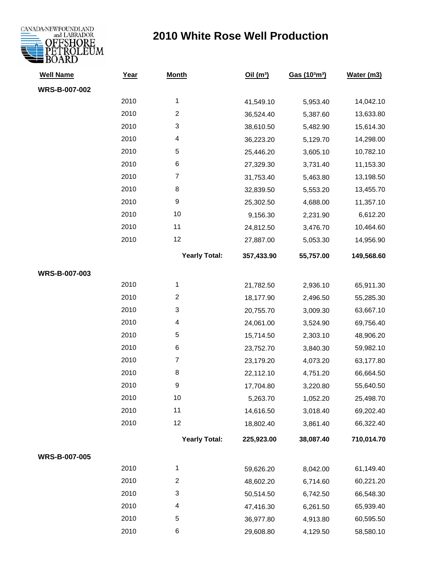

| <b>Well Name</b>     | <u>Year</u> | <b>Month</b>            | Oil(m <sup>3</sup> ) | Gas (10 <sup>3</sup> m <sup>3</sup> ) | Water (m3) |
|----------------------|-------------|-------------------------|----------------------|---------------------------------------|------------|
| WRS-B-007-002        |             |                         |                      |                                       |            |
|                      | 2010        | 1                       | 41,549.10            | 5,953.40                              | 14,042.10  |
|                      | 2010        | $\overline{\mathbf{c}}$ | 36,524.40            | 5,387.60                              | 13,633.80  |
|                      | 2010        | 3                       | 38,610.50            | 5,482.90                              | 15,614.30  |
|                      | 2010        | 4                       | 36,223.20            | 5,129.70                              | 14,298.00  |
|                      | 2010        | 5                       | 25,446.20            | 3,605.10                              | 10,782.10  |
|                      | 2010        | 6                       | 27,329.30            | 3,731.40                              | 11,153.30  |
|                      | 2010        | $\boldsymbol{7}$        | 31,753.40            | 5,463.80                              | 13,198.50  |
|                      | 2010        | 8                       | 32,839.50            | 5,553.20                              | 13,455.70  |
|                      | 2010        | 9                       | 25,302.50            | 4,688.00                              | 11,357.10  |
|                      | 2010        | 10                      | 9,156.30             | 2,231.90                              | 6,612.20   |
|                      | 2010        | 11                      | 24,812.50            | 3,476.70                              | 10,464.60  |
|                      | 2010        | 12                      | 27,887.00            | 5,053.30                              | 14,956.90  |
|                      |             | <b>Yearly Total:</b>    | 357,433.90           | 55,757.00                             | 149,568.60 |
| WRS-B-007-003        |             |                         |                      |                                       |            |
|                      | 2010        | 1                       | 21,782.50            | 2,936.10                              | 65,911.30  |
|                      | 2010        | $\overline{c}$          | 18,177.90            | 2,496.50                              | 55,285.30  |
|                      | 2010        | 3                       | 20,755.70            | 3,009.30                              | 63,667.10  |
|                      | 2010        | 4                       | 24,061.00            | 3,524.90                              | 69,756.40  |
|                      | 2010        | 5                       | 15,714.50            | 2,303.10                              | 48,906.20  |
|                      | 2010        | 6                       | 23,752.70            | 3,840.30                              | 59,982.10  |
|                      | 2010        | $\boldsymbol{7}$        | 23,179.20            | 4,073.20                              | 63,177.80  |
|                      | 2010        | 8                       | 22,112.10            | 4,751.20                              | 66,664.50  |
|                      | 2010        | 9                       | 17,704.80            | 3,220.80                              | 55,640.50  |
|                      | 2010        | 10                      | 5,263.70             | 1,052.20                              | 25,498.70  |
|                      | 2010        | 11                      | 14,616.50            | 3,018.40                              | 69,202.40  |
|                      | 2010        | 12                      | 18,802.40            | 3,861.40                              | 66,322.40  |
|                      |             | <b>Yearly Total:</b>    | 225,923.00           | 38,087.40                             | 710,014.70 |
| <b>WRS-B-007-005</b> |             |                         |                      |                                       |            |
|                      | 2010        | 1                       | 59,626.20            | 8,042.00                              | 61,149.40  |
|                      | 2010        | $\overline{c}$          | 48,602.20            | 6,714.60                              | 60,221.20  |
|                      | 2010        | 3                       | 50,514.50            | 6,742.50                              | 66,548.30  |
|                      | 2010        | 4                       | 47,416.30            | 6,261.50                              | 65,939.40  |
|                      | 2010        | 5                       | 36,977.80            | 4,913.80                              | 60,595.50  |
|                      | 2010        | 6                       | 29,608.80            | 4,129.50                              | 58,580.10  |
|                      |             |                         |                      |                                       |            |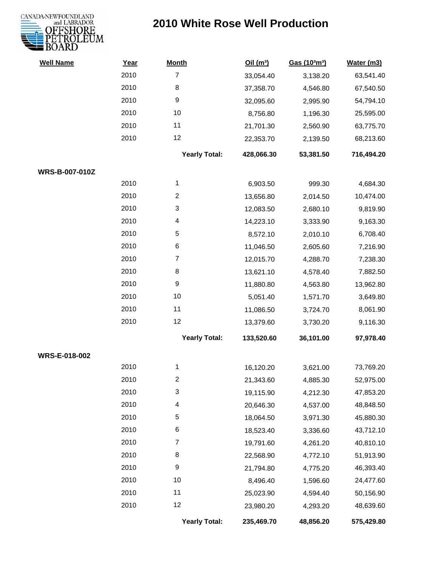

| <b>Well Name</b>      | Year | <b>Month</b>         | Oil(m <sup>3</sup> ) | Gas (103m <sup>3</sup> ) | Water (m3) |
|-----------------------|------|----------------------|----------------------|--------------------------|------------|
|                       | 2010 | $\overline{7}$       | 33,054.40            | 3,138.20                 | 63,541.40  |
|                       | 2010 | 8                    | 37,358.70            | 4,546.80                 | 67,540.50  |
|                       | 2010 | 9                    | 32,095.60            | 2,995.90                 | 54,794.10  |
|                       | 2010 | 10                   | 8,756.80             | 1,196.30                 | 25,595.00  |
|                       | 2010 | 11                   | 21,701.30            | 2,560.90                 | 63,775.70  |
|                       | 2010 | 12                   | 22,353.70            | 2,139.50                 | 68,213.60  |
|                       |      | <b>Yearly Total:</b> | 428,066.30           | 53,381.50                | 716,494.20 |
| <b>WRS-B-007-010Z</b> |      |                      |                      |                          |            |
|                       | 2010 | $\mathbf{1}$         | 6,903.50             | 999.30                   | 4,684.30   |
|                       | 2010 | $\overline{2}$       | 13,656.80            | 2,014.50                 | 10,474.00  |
|                       | 2010 | 3                    | 12,083.50            | 2,680.10                 | 9,819.90   |
|                       | 2010 | 4                    | 14,223.10            | 3,333.90                 | 9,163.30   |
|                       | 2010 | $\sqrt{5}$           | 8,572.10             | 2,010.10                 | 6,708.40   |
|                       | 2010 | 6                    | 11,046.50            | 2,605.60                 | 7,216.90   |
|                       | 2010 | $\overline{7}$       | 12,015.70            | 4,288.70                 | 7,238.30   |
|                       | 2010 | 8                    | 13,621.10            | 4,578.40                 | 7,882.50   |
|                       | 2010 | 9                    | 11,880.80            | 4,563.80                 | 13,962.80  |
|                       | 2010 | 10                   | 5,051.40             | 1,571.70                 | 3,649.80   |
|                       | 2010 | 11                   | 11,086.50            | 3,724.70                 | 8,061.90   |
|                       | 2010 | 12                   | 13,379.60            | 3,730.20                 | 9,116.30   |
|                       |      | <b>Yearly Total:</b> | 133,520.60           | 36,101.00                | 97,978.40  |
| WRS-E-018-002         |      |                      |                      |                          |            |
|                       | 2010 | 1                    | 16,120.20            | 3,621.00                 | 73,769.20  |
|                       | 2010 | 2                    | 21,343.60            | 4,885.30                 | 52,975.00  |
|                       | 2010 | 3                    | 19,115.90            | 4,212.30                 | 47,853.20  |
|                       | 2010 | 4                    | 20,646.30            | 4,537.00                 | 48,848.50  |
|                       | 2010 | 5                    | 18,064.50            | 3,971.30                 | 45,880.30  |
|                       | 2010 | 6                    | 18,523.40            | 3,336.60                 | 43,712.10  |
|                       | 2010 | 7                    | 19,791.60            | 4,261.20                 | 40,810.10  |
|                       | 2010 | 8                    | 22,568.90            | 4,772.10                 | 51,913.90  |
|                       | 2010 | $\boldsymbol{9}$     | 21,794.80            | 4,775.20                 | 46,393.40  |
|                       | 2010 | 10                   | 8,496.40             | 1,596.60                 | 24,477.60  |
|                       | 2010 | 11                   | 25,023.90            | 4,594.40                 | 50,156.90  |
|                       | 2010 | 12                   | 23,980.20            | 4,293.20                 | 48,639.60  |
|                       |      | <b>Yearly Total:</b> | 235,469.70           | 48,856.20                | 575,429.80 |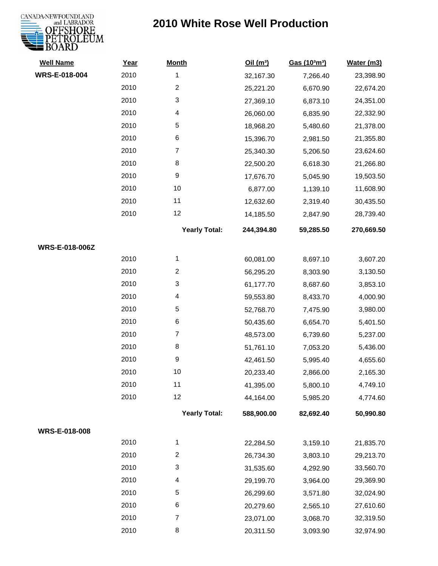# CANADA-NEWFOUNDLAND<br>
and LABRADOR<br> **OFFSHORE**<br> **PETROLEUM**<br>
BOARD

| <b>Well Name</b> | Year | <b>Month</b>         | Oil(m <sup>3</sup> ) | Gas (103m3) | Water (m3) |
|------------------|------|----------------------|----------------------|-------------|------------|
| WRS-E-018-004    | 2010 | 1                    | 32,167.30            | 7,266.40    | 23,398.90  |
|                  | 2010 | $\overline{c}$       | 25,221.20            | 6,670.90    | 22,674.20  |
|                  | 2010 | 3                    | 27,369.10            | 6,873.10    | 24,351.00  |
|                  | 2010 | 4                    | 26,060.00            | 6,835.90    | 22,332.90  |
|                  | 2010 | 5                    | 18,968.20            | 5,480.60    | 21,378.00  |
|                  | 2010 | 6                    | 15,396.70            | 2,981.50    | 21,355.80  |
|                  | 2010 | $\boldsymbol{7}$     | 25,340.30            | 5,206.50    | 23,624.60  |
|                  | 2010 | 8                    | 22,500.20            | 6,618.30    | 21,266.80  |
|                  | 2010 | 9                    | 17,676.70            | 5,045.90    | 19,503.50  |
|                  | 2010 | 10                   | 6,877.00             | 1,139.10    | 11,608.90  |
|                  | 2010 | 11                   | 12,632.60            | 2,319.40    | 30,435.50  |
|                  | 2010 | 12                   | 14,185.50            | 2,847.90    | 28,739.40  |
|                  |      | <b>Yearly Total:</b> | 244,394.80           | 59,285.50   | 270,669.50 |
| WRS-E-018-006Z   |      |                      |                      |             |            |
|                  | 2010 | 1                    | 60,081.00            | 8,697.10    | 3,607.20   |
|                  | 2010 | $\overline{c}$       | 56,295.20            | 8,303.90    | 3,130.50   |
|                  | 2010 | 3                    | 61,177.70            | 8,687.60    | 3,853.10   |
|                  | 2010 | 4                    | 59,553.80            | 8,433.70    | 4,000.90   |
|                  | 2010 | 5                    | 52,768.70            | 7,475.90    | 3,980.00   |
|                  | 2010 | 6                    | 50,435.60            | 6,654.70    | 5,401.50   |
|                  | 2010 | $\boldsymbol{7}$     | 48,573.00            | 6,739.60    | 5,237.00   |
|                  | 2010 | 8                    | 51,761.10            | 7,053.20    | 5,436.00   |
|                  | 2010 | 9                    | 42,461.50            | 5,995.40    | 4,655.60   |
|                  | 2010 | 10                   | 20,233.40            | 2,866.00    | 2,165.30   |
|                  | 2010 | 11                   | 41,395.00            | 5,800.10    | 4,749.10   |
|                  | 2010 | 12                   | 44,164.00            | 5,985.20    | 4,774.60   |
|                  |      | <b>Yearly Total:</b> | 588,900.00           | 82,692.40   | 50,990.80  |
| WRS-E-018-008    |      |                      |                      |             |            |
|                  | 2010 | $\mathbf{1}$         | 22,284.50            | 3,159.10    | 21,835.70  |
|                  | 2010 | $\overline{c}$       | 26,734.30            | 3,803.10    | 29,213.70  |
|                  | 2010 | 3                    | 31,535.60            | 4,292.90    | 33,560.70  |
|                  | 2010 | 4                    | 29,199.70            | 3,964.00    | 29,369.90  |
|                  | 2010 | 5                    | 26,299.60            | 3,571.80    | 32,024.90  |
|                  | 2010 | 6                    | 20,279.60            | 2,565.10    | 27,610.60  |
|                  | 2010 | $\boldsymbol{7}$     | 23,071.00            | 3,068.70    | 32,319.50  |
|                  | 2010 | 8                    | 20,311.50            | 3,093.90    | 32,974.90  |
|                  |      |                      |                      |             |            |